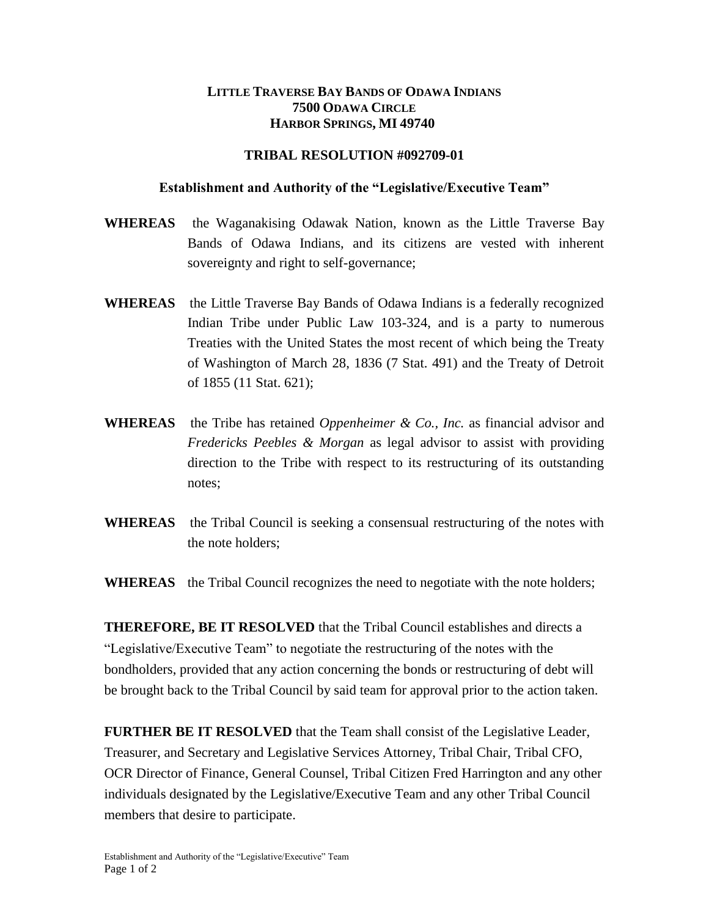## **LITTLE TRAVERSE BAY BANDS OF ODAWA INDIANS 7500 ODAWA CIRCLE HARBOR SPRINGS, MI 49740**

## **TRIBAL RESOLUTION #092709-01**

## **Establishment and Authority of the "Legislative/Executive Team"**

- **WHEREAS** the Waganakising Odawak Nation, known as the Little Traverse Bay Bands of Odawa Indians, and its citizens are vested with inherent sovereignty and right to self-governance;
- **WHEREAS** the Little Traverse Bay Bands of Odawa Indians is a federally recognized Indian Tribe under Public Law 103-324, and is a party to numerous Treaties with the United States the most recent of which being the Treaty of Washington of March 28, 1836 (7 Stat. 491) and the Treaty of Detroit of 1855 (11 Stat. 621);
- **WHEREAS** the Tribe has retained *Oppenheimer & Co., Inc.* as financial advisor and *Fredericks Peebles & Morgan* as legal advisor to assist with providing direction to the Tribe with respect to its restructuring of its outstanding notes;
- **WHEREAS** the Tribal Council is seeking a consensual restructuring of the notes with the note holders;

**WHEREAS** the Tribal Council recognizes the need to negotiate with the note holders;

**THEREFORE, BE IT RESOLVED** that the Tribal Council establishes and directs a "Legislative/Executive Team" to negotiate the restructuring of the notes with the bondholders, provided that any action concerning the bonds or restructuring of debt will be brought back to the Tribal Council by said team for approval prior to the action taken.

**FURTHER BE IT RESOLVED** that the Team shall consist of the Legislative Leader, Treasurer, and Secretary and Legislative Services Attorney, Tribal Chair, Tribal CFO, OCR Director of Finance, General Counsel, Tribal Citizen Fred Harrington and any other individuals designated by the Legislative/Executive Team and any other Tribal Council members that desire to participate.